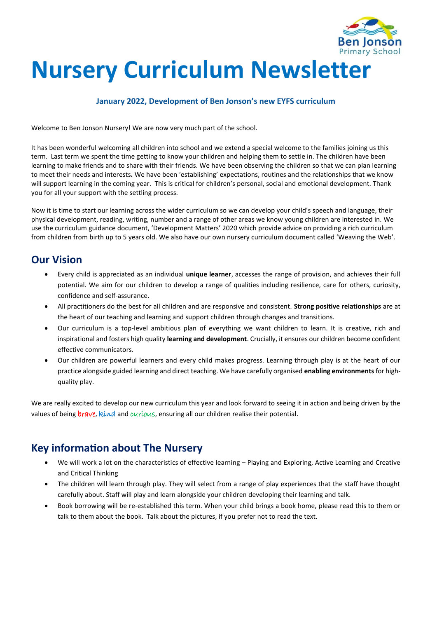

# **Nursery Curriculum Newsletter**

#### **January 2022, Development of Ben Jonson's new EYFS curriculum**

Welcome to Ben Jonson Nursery! We are now very much part of the school.

It has been wonderful welcoming all children into school and we extend a special welcome to the families joining us this term. Last term we spent the time getting to know your children and helping them to settle in. The children have been learning to make friends and to share with their friends. We have been observing the children so that we can plan learning to meet their needs and interests**.** We have been 'establishing' expectations, routines and the relationships that we know will support learning in the coming year. This is critical for children's personal, social and emotional development. Thank you for all your support with the settling process.

Now it is time to start our learning across the wider curriculum so we can develop your child's speech and language, their physical development, reading, writing, number and a range of other areas we know young children are interested in. We use the curriculum guidance document, 'Development Matters' 2020 which provide advice on providing a rich curriculum from children from birth up to 5 years old. We also have our own nursery curriculum document called 'Weaving the Web'.

### **Our Vision**

- Every child is appreciated as an individual **unique learner**, accesses the range of provision, and achieves their full potential. We aim for our children to develop a range of qualities including resilience, care for others, curiosity, confidence and self-assurance.
- All practitioners do the best for all children and are responsive and consistent. **Strong positive relationships** are at the heart of our teaching and learning and support children through changes and transitions.
- Our curriculum is a top-level ambitious plan of everything we want children to learn. It is creative, rich and inspirational and fosters high quality **learning and development**. Crucially, it ensures our children become confident effective communicators.
- Our children are powerful learners and every child makes progress. Learning through play is at the heart of our practice alongside guided learning and direct teaching. We have carefully organised **enabling environments** for highquality play.

We are really excited to develop our new curriculum this year and look forward to seeing it in action and being driven by the values of being brave, kind and curious, ensuring all our children realise their potential.

### **Key information about The Nursery**

- We will work a lot on the characteristics of effective learning Playing and Exploring, Active Learning and Creative and Critical Thinking
- The children will learn through play. They will select from a range of play experiences that the staff have thought carefully about. Staff will play and learn alongside your children developing their learning and talk.
- Book borrowing will be re-established this term. When your child brings a book home, please read this to them or talk to them about the book. Talk about the pictures, if you prefer not to read the text.